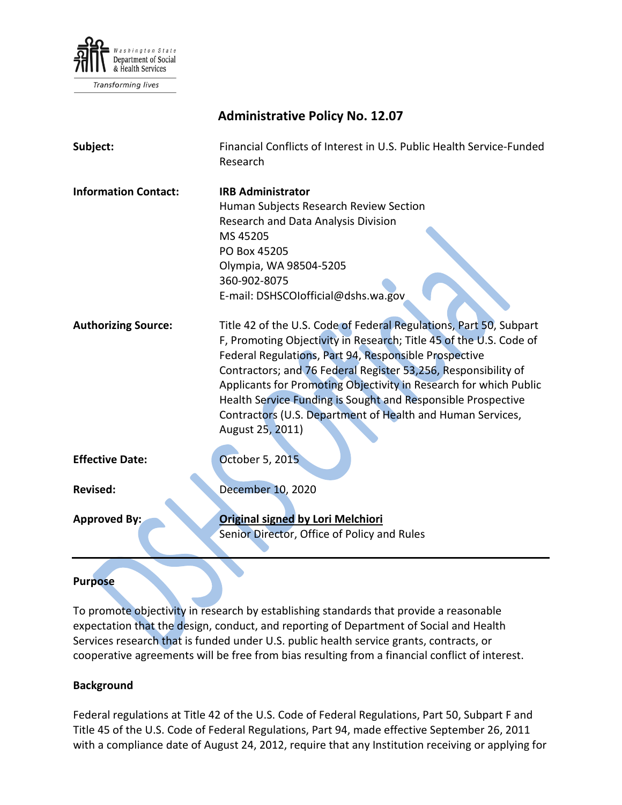

Transforming lives

|                             | <b>Administrative Policy No. 12.07</b>                                                                                                                                                                                                                                                                                                                                                                                                                                                     |
|-----------------------------|--------------------------------------------------------------------------------------------------------------------------------------------------------------------------------------------------------------------------------------------------------------------------------------------------------------------------------------------------------------------------------------------------------------------------------------------------------------------------------------------|
| Subject:                    | Financial Conflicts of Interest in U.S. Public Health Service-Funded<br>Research                                                                                                                                                                                                                                                                                                                                                                                                           |
| <b>Information Contact:</b> | <b>IRB Administrator</b><br>Human Subjects Research Review Section<br>Research and Data Analysis Division<br>MS 45205<br>PO Box 45205<br>Olympia, WA 98504-5205<br>360-902-8075<br>E-mail: DSHSCOlofficial@dshs.wa.gov                                                                                                                                                                                                                                                                     |
| <b>Authorizing Source:</b>  | Title 42 of the U.S. Code of Federal Regulations, Part 50, Subpart<br>F, Promoting Objectivity in Research; Title 45 of the U.S. Code of<br>Federal Regulations, Part 94, Responsible Prospective<br>Contractors; and 76 Federal Register 53,256, Responsibility of<br>Applicants for Promoting Objectivity in Research for which Public<br>Health Service Funding is Sought and Responsible Prospective<br>Contractors (U.S. Department of Health and Human Services,<br>August 25, 2011) |
| <b>Effective Date:</b>      | October 5, 2015                                                                                                                                                                                                                                                                                                                                                                                                                                                                            |
| <b>Revised:</b>             | December 10, 2020                                                                                                                                                                                                                                                                                                                                                                                                                                                                          |
| <b>Approved By:</b>         | <b>Original signed by Lori Melchiori</b><br>Senior Director, Office of Policy and Rules                                                                                                                                                                                                                                                                                                                                                                                                    |

# **Purpose**

To promote objectivity in research by establishing standards that provide a reasonable expectation that the design, conduct, and reporting of Department of Social and Health Services research that is funded under U.S. public health service grants, contracts, or cooperative agreements will be free from bias resulting from a financial conflict of interest.

# **Background**

Federal regulations at Title 42 of the U.S. Code of Federal Regulations, Part 50, Subpart F and Title 45 of the U.S. Code of Federal Regulations, Part 94, made effective September 26, 2011 with a compliance date of August 24, 2012, require that any Institution receiving or applying for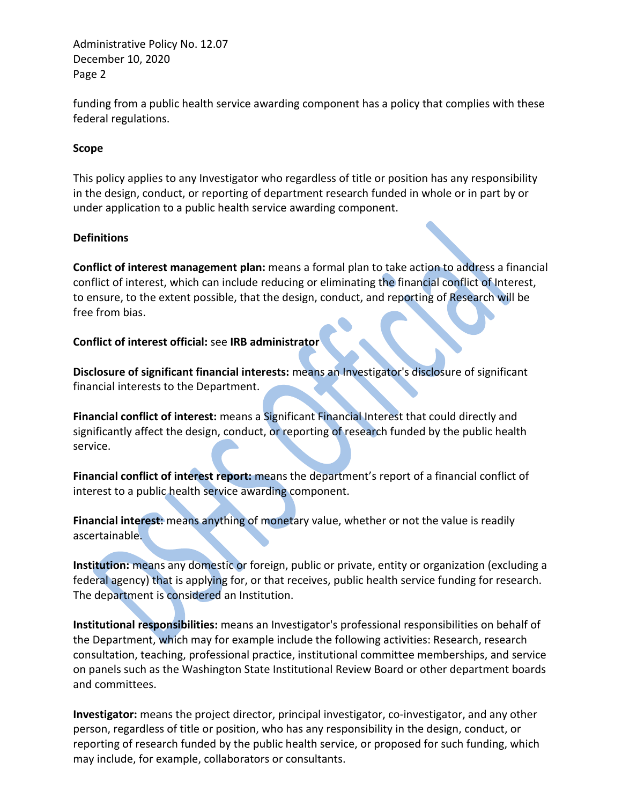funding from a public health service awarding component has a policy that complies with these federal regulations.

### **Scope**

This policy applies to any Investigator who regardless of title or position has any responsibility in the design, conduct, or reporting of department research funded in whole or in part by or under application to a public health service awarding component.

#### **Definitions**

**Conflict of interest management plan:** means a formal plan to take action to address a financial conflict of interest, which can include reducing or eliminating the financial conflict of Interest, to ensure, to the extent possible, that the design, conduct, and reporting of Research will be free from bias.

# **Conflict of interest official:** see **IRB administrator**

**Disclosure of significant financial interests:** means an Investigator's disclosure of significant financial interests to the Department.

**Financial conflict of interest:** means a Significant Financial Interest that could directly and significantly affect the design, conduct, or reporting of research funded by the public health service.

**Financial conflict of interest report:** means the department's report of a financial conflict of interest to a public health service awarding component.

**Financial interest:** means anything of monetary value, whether or not the value is readily ascertainable.

**Institution:** means any domestic or foreign, public or private, entity or organization (excluding a federal agency) that is applying for, or that receives, public health service funding for research. The department is considered an Institution.

**Institutional responsibilities:** means an Investigator's professional responsibilities on behalf of the Department, which may for example include the following activities: Research, research consultation, teaching, professional practice, institutional committee memberships, and service on panels such as the Washington State Institutional Review Board or other department boards and committees.

**Investigator:** means the project director, principal investigator, co-investigator, and any other person, regardless of title or position, who has any responsibility in the design, conduct, or reporting of research funded by the public health service, or proposed for such funding, which may include, for example, collaborators or consultants.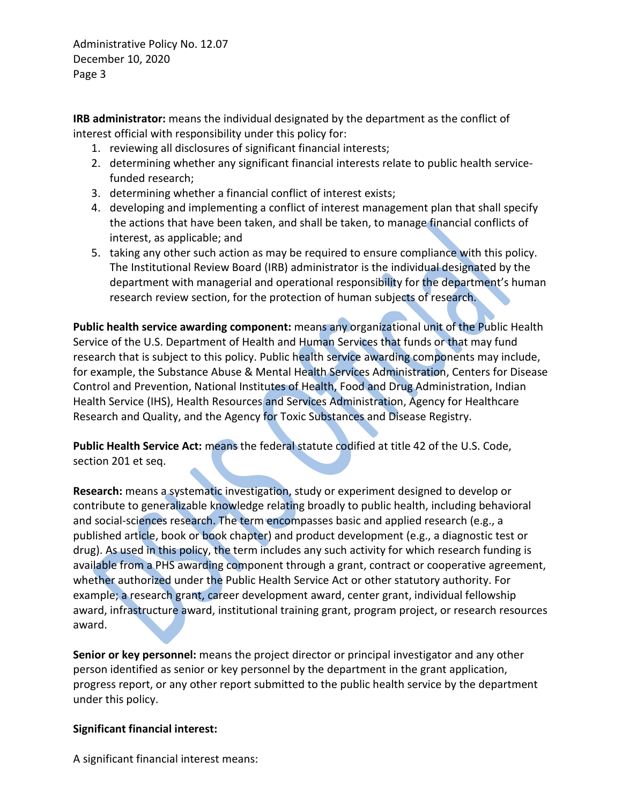**IRB administrator:** means the individual designated by the department as the conflict of interest official with responsibility under this policy for:

- 1. reviewing all disclosures of significant financial interests;
- 2. determining whether any significant financial interests relate to public health servicefunded research;
- 3. determining whether a financial conflict of interest exists;
- 4. developing and implementing a conflict of interest management plan that shall specify the actions that have been taken, and shall be taken, to manage financial conflicts of interest, as applicable; and
- 5. taking any other such action as may be required to ensure compliance with this policy. The Institutional Review Board (IRB) administrator is the individual designated by the department with managerial and operational responsibility for the department's human research review section, for the protection of human subjects of research.

**Public health service awarding component:** means any organizational unit of the Public Health Service of the U.S. Department of Health and Human Services that funds or that may fund research that is subject to this policy. Public health service awarding components may include, for example, the Substance Abuse & Mental Health Services Administration, Centers for Disease Control and Prevention, National Institutes of Health, Food and Drug Administration, Indian Health Service (IHS), Health Resources and Services Administration, Agency for Healthcare Research and Quality, and the Agency for Toxic Substances and Disease Registry.

**Public Health Service Act:** means the federal statute codified at title 42 of the U.S. Code, section 201 et seq.

**Research:** means a systematic investigation, study or experiment designed to develop or contribute to generalizable knowledge relating broadly to public health, including behavioral and social-sciences research. The term encompasses basic and applied research (e.g., a published article, book or book chapter) and product development (e.g., a diagnostic test or drug). As used in this policy, the term includes any such activity for which research funding is available from a PHS awarding component through a grant, contract or cooperative agreement, whether authorized under the Public Health Service Act or other statutory authority. For example; a research grant, career development award, center grant, individual fellowship award, infrastructure award, institutional training grant, program project, or research resources award.

**Senior or key personnel:** means the project director or principal investigator and any other person identified as senior or key personnel by the department in the grant application, progress report, or any other report submitted to the public health service by the department under this policy.

# **Significant financial interest:**

A significant financial interest means: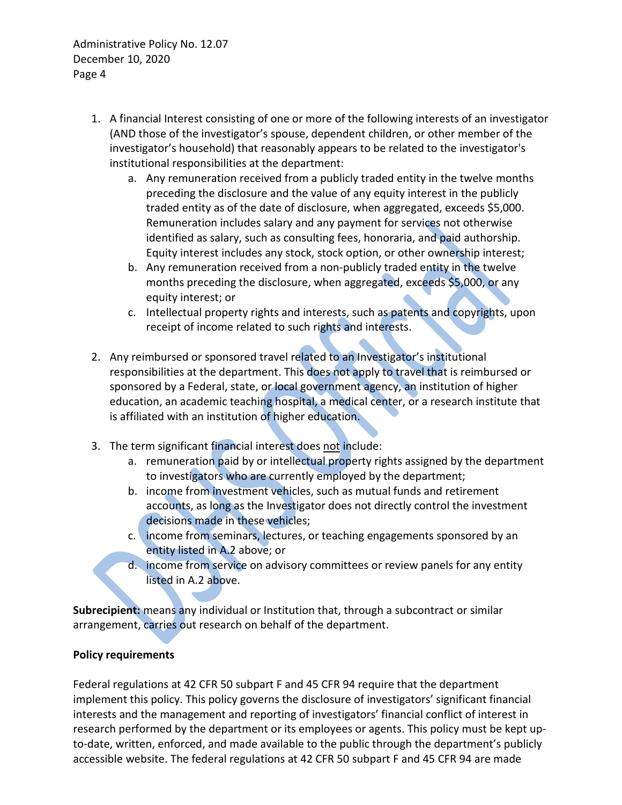- 1. A financial Interest consisting of one or more of the following interests of an investigator (AND those of the investigator's spouse, dependent children, or other member of the investigator's household) that reasonably appears to be related to the investigator's institutional responsibilities at the department:
	- a. Any remuneration received from a publicly traded entity in the twelve months preceding the disclosure and the value of any equity interest in the publicly traded entity as of the date of disclosure, when aggregated, exceeds \$5,000. Remuneration includes salary and any payment for services not otherwise identified as salary, such as consulting fees, honoraria, and paid authorship. Equity interest includes any stock, stock option, or other ownership interest;
	- b. Any remuneration received from a non-publicly traded entity in the twelve months preceding the disclosure, when aggregated, exceeds \$5,000, or any equity interest; or
	- c. Intellectual property rights and interests, such as patents and copyrights, upon receipt of income related to such rights and interests.
- 2. Any reimbursed or sponsored travel related to an Investigator's institutional responsibilities at the department. This does not apply to travel that is reimbursed or sponsored by a Federal, state, or local government agency, an institution of higher education, an academic teaching hospital, a medical center, or a research institute that is affiliated with an institution of higher education.
- 3. The term significant financial interest does not include:
	- a. remuneration paid by or intellectual property rights assigned by the department to investigators who are currently employed by the department;
	- b. income from investment vehicles, such as mutual funds and retirement accounts, as long as the Investigator does not directly control the investment decisions made in these vehicles;
	- c. income from seminars, lectures, or teaching engagements sponsored by an entity listed in A.2 above; or
	- d. income from service on advisory committees or review panels for any entity listed in A.2 above.

**Subrecipient:** means any individual or Institution that, through a subcontract or similar arrangement, carries out research on behalf of the department.

#### **Policy requirements**

Federal regulations at 42 CFR 50 subpart F and 45 CFR 94 require that the department implement this policy. This policy governs the disclosure of investigators' significant financial interests and the management and reporting of investigators' financial conflict of interest in research performed by the department or its employees or agents. This policy must be kept upto-date, written, enforced, and made available to the public through the department's publicly accessible website. The federal regulations at 42 CFR 50 subpart F and 45 CFR 94 are made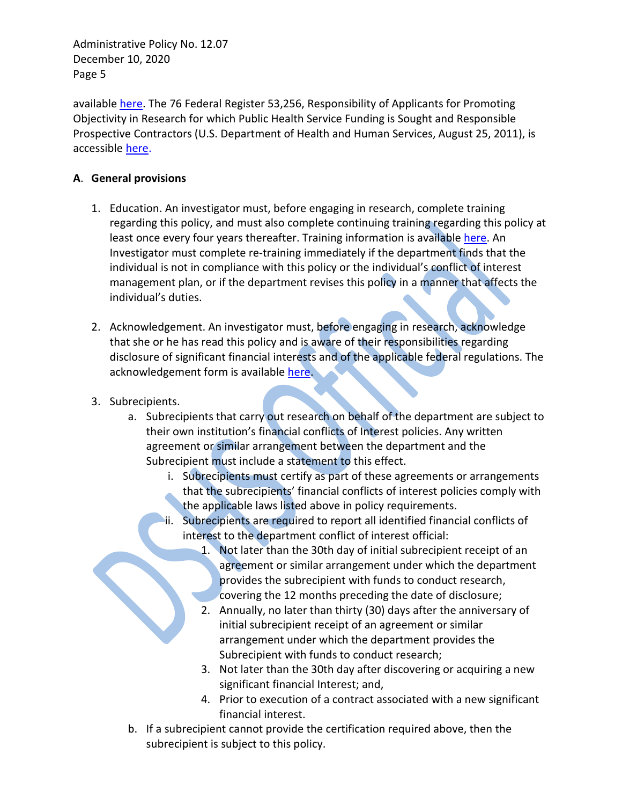available [here.](https://www.dshs.wa.gov/ffa/human-research-review-section/financial-conflicts-interest) The 76 Federal Register 53,256, Responsibility of Applicants for Promoting Objectivity in Research for which Public Health Service Funding is Sought and Responsible Prospective Contractors (U.S. Department of Health and Human Services, August 25, 2011), is accessible [here.](http://www.gpo.gov/fdsys/pkg/FR-2011-08-25/pdf/2011-21633.pdf)

### **A**. **General provisions**

- 1. Education. An investigator must, before engaging in research, complete training regarding this policy, and must also complete continuing training regarding this policy at least once every four years thereafter. Training information is availabl[e here.](https://www.dshs.wa.gov/ffa/human-research-review-section/training) An Investigator must complete re-training immediately if the department finds that the individual is not in compliance with this policy or the individual's conflict of interest management plan, or if the department revises this policy in a manner that affects the individual's duties.
- 2. Acknowledgement. An investigator must, before engaging in research, acknowledge that she or he has read this policy and is aware of their responsibilities regarding disclosure of significant financial interests and of the applicable federal regulations. The acknowledgement form is available [here.](http://rda.dshs.wa.lcl/Home/HRRS/Pages/FCOI.aspx)
- 3. Subrecipients.
	- a. Subrecipients that carry out research on behalf of the department are subject to their own institution's financial conflicts of Interest policies. Any written agreement or similar arrangement between the department and the Subrecipient must include a statement to this effect.
		- i. Subrecipients must certify as part of these agreements or arrangements that the subrecipients' financial conflicts of interest policies comply with the applicable laws listed above in policy requirements.
		- ii. Subrecipients are required to report all identified financial conflicts of interest to the department conflict of interest official:
			- 1. Not later than the 30th day of initial subrecipient receipt of an agreement or similar arrangement under which the department provides the subrecipient with funds to conduct research, covering the 12 months preceding the date of disclosure;
			- 2. Annually, no later than thirty (30) days after the anniversary of initial subrecipient receipt of an agreement or similar arrangement under which the department provides the Subrecipient with funds to conduct research;
			- 3. Not later than the 30th day after discovering or acquiring a new significant financial Interest; and,
			- 4. Prior to execution of a contract associated with a new significant financial interest.
	- b. If a subrecipient cannot provide the certification required above, then the subrecipient is subject to this policy.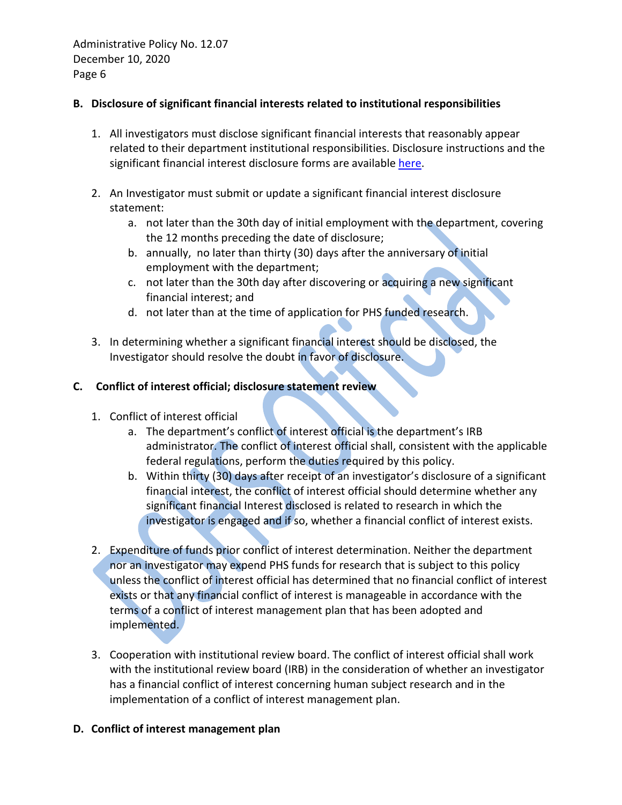### **B. Disclosure of significant financial interests related to institutional responsibilities**

- 1. All investigators must disclose significant financial interests that reasonably appear related to their department institutional responsibilities. Disclosure instructions and the significant financial interest disclosure forms are available [here.](http://rda.dshs.wa.lcl/Home/HRRS/Pages/FCOI.aspx)
- 2. An Investigator must submit or update a significant financial interest disclosure statement:
	- a. not later than the 30th day of initial employment with the department, covering the 12 months preceding the date of disclosure;
	- b. annually, no later than thirty (30) days after the anniversary of initial employment with the department;
	- c. not later than the 30th day after discovering or acquiring a new significant financial interest; and
	- d. not later than at the time of application for PHS funded research.
- 3. In determining whether a significant financial interest should be disclosed, the Investigator should resolve the doubt in favor of disclosure.

### **C. Conflict of interest official; disclosure statement review**

- 1. Conflict of interest official
	- a. The department's conflict of interest official is the department's IRB administrator. The conflict of interest official shall, consistent with the applicable federal regulations, perform the duties required by this policy.
	- b. Within thirty (30) days after receipt of an investigator's disclosure of a significant financial interest, the conflict of interest official should determine whether any significant financial Interest disclosed is related to research in which the investigator is engaged and if so, whether a financial conflict of interest exists.
- 2. Expenditure of funds prior conflict of interest determination. Neither the department nor an investigator may expend PHS funds for research that is subject to this policy unless the conflict of interest official has determined that no financial conflict of interest exists or that any financial conflict of interest is manageable in accordance with the terms of a conflict of interest management plan that has been adopted and implemented.
- 3. Cooperation with institutional review board. The conflict of interest official shall work with the institutional review board (IRB) in the consideration of whether an investigator has a financial conflict of interest concerning human subject research and in the implementation of a conflict of interest management plan.

# **D. Conflict of interest management plan**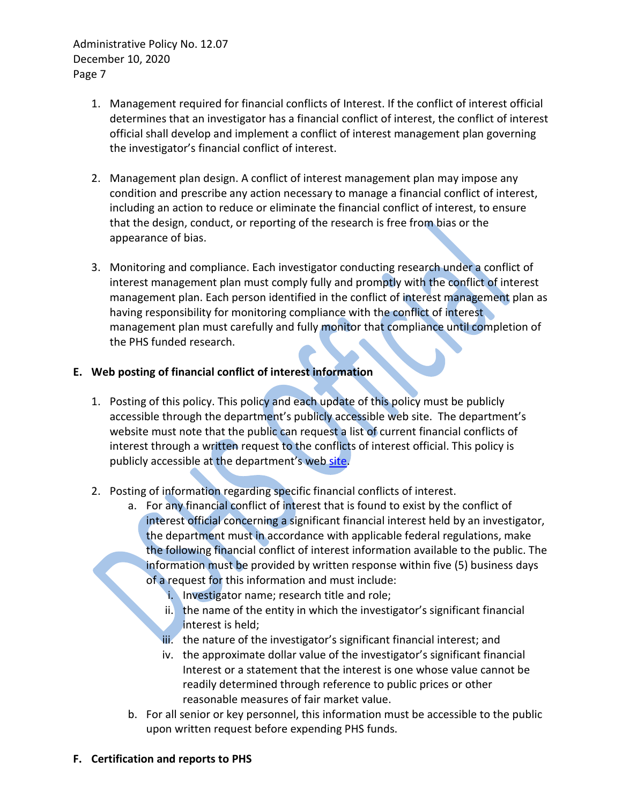- 1. Management required for financial conflicts of Interest. If the conflict of interest official determines that an investigator has a financial conflict of interest, the conflict of interest official shall develop and implement a conflict of interest management plan governing the investigator's financial conflict of interest.
- 2. Management plan design. A conflict of interest management plan may impose any condition and prescribe any action necessary to manage a financial conflict of interest, including an action to reduce or eliminate the financial conflict of interest, to ensure that the design, conduct, or reporting of the research is free from bias or the appearance of bias.
- 3. Monitoring and compliance. Each investigator conducting research under a conflict of interest management plan must comply fully and promptly with the conflict of interest management plan. Each person identified in the conflict of interest management plan as having responsibility for monitoring compliance with the conflict of interest management plan must carefully and fully monitor that compliance until completion of the PHS funded research.

# **E. Web posting of financial conflict of interest information**

- 1. Posting of this policy. This policy and each update of this policy must be publicly accessible through the department's publicly accessible web site. The department's website must note that the public can request a list of current financial conflicts of interest through a written request to the conflicts of interest official. This policy is publicly accessible at the department's web [site.](https://www.dshs.wa.gov/ffa/human-research-review-section/financial-conflicts-interest)
- 2. Posting of information regarding specific financial conflicts of interest.
	- a. For any financial conflict of interest that is found to exist by the conflict of interest official concerning a significant financial interest held by an investigator, the department must in accordance with applicable federal regulations, make the following financial conflict of interest information available to the public. The information must be provided by written response within five (5) business days of a request for this information and must include:
		- i. Investigator name; research title and role;
		- ii. the name of the entity in which the investigator's significant financial interest is held;
		- iii. the nature of the investigator's significant financial interest; and
		- iv. the approximate dollar value of the investigator's significant financial Interest or a statement that the interest is one whose value cannot be readily determined through reference to public prices or other reasonable measures of fair market value.
	- b. For all senior or key personnel, this information must be accessible to the public upon written request before expending PHS funds.

#### **F. Certification and reports to PHS**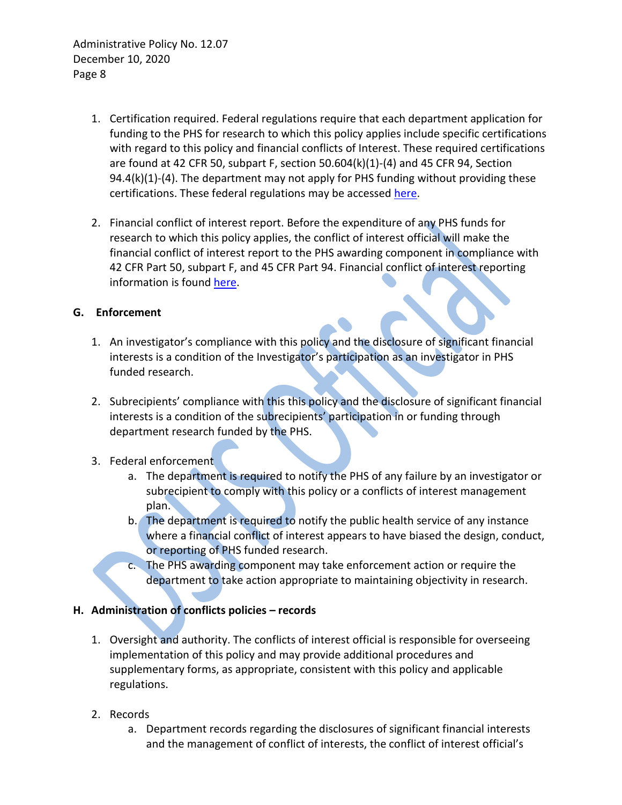- 1. Certification required. Federal regulations require that each department application for funding to the PHS for research to which this policy applies include specific certifications with regard to this policy and financial conflicts of Interest. These required certifications are found at 42 CFR 50, subpart F, section  $50.604(k)(1)-(4)$  and 45 CFR 94, Section 94.4(k)(1)-(4). The department may not apply for PHS funding without providing these certifications. These federal regulations may be accessed [here.](https://www.dshs.wa.gov/ffa/human-research-review-section/laws-regulations)
- 2. Financial conflict of interest report. Before the expenditure of any PHS funds for research to which this policy applies, the conflict of interest official will make the financial conflict of interest report to the PHS awarding component in compliance with 42 CFR Part 50, subpart F, and 45 CFR Part 94. Financial conflict of interest reporting information is found [here.](http://grants.nih.gov/grants/policy/coi/index.htm)

### **G. Enforcement**

- 1. An investigator's compliance with this policy and the disclosure of significant financial interests is a condition of the Investigator's participation as an investigator in PHS funded research.
- 2. Subrecipients' compliance with this this policy and the disclosure of significant financial interests is a condition of the subrecipients' participation in or funding through department research funded by the PHS.
- 3. Federal enforcement
	- a. The department is required to notify the PHS of any failure by an investigator or subrecipient to comply with this policy or a conflicts of interest management plan.
	- b. The department is required to notify the public health service of any instance where a financial conflict of interest appears to have biased the design, conduct, or reporting of PHS funded research.
	- c. The PHS awarding component may take enforcement action or require the department to take action appropriate to maintaining objectivity in research.

# **H. Administration of conflicts policies – records**

- 1. Oversight and authority. The conflicts of interest official is responsible for overseeing implementation of this policy and may provide additional procedures and supplementary forms, as appropriate, consistent with this policy and applicable regulations.
- 2. Records
	- a. Department records regarding the disclosures of significant financial interests and the management of conflict of interests, the conflict of interest official's